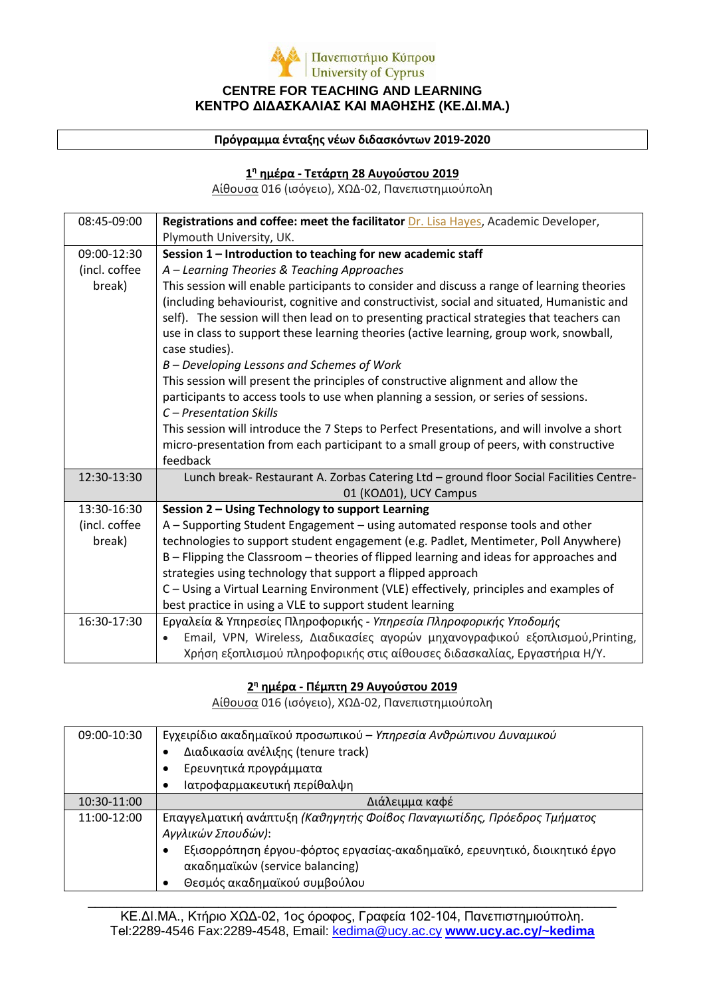

#### **Πρόγραμμα ένταξης νέων διδασκόντων 2019-2020**

### **1η ημέρα - Τετάρτη 28 Αυγούστου 2019**

Αίθουσα 016 (ισόγειο), ΧΩΔ-02, Πανεπιστημιούπολη

| 08:45-09:00   | Registrations and coffee: meet the facilitator Dr. Lisa Hayes, Academic Developer,                        |  |
|---------------|-----------------------------------------------------------------------------------------------------------|--|
|               | Plymouth University, UK.                                                                                  |  |
| 09:00-12:30   | Session 1 - Introduction to teaching for new academic staff                                               |  |
| (incl. coffee | A - Learning Theories & Teaching Approaches                                                               |  |
| break)        | This session will enable participants to consider and discuss a range of learning theories                |  |
|               | (including behaviourist, cognitive and constructivist, social and situated, Humanistic and                |  |
|               | self). The session will then lead on to presenting practical strategies that teachers can                 |  |
|               | use in class to support these learning theories (active learning, group work, snowball,<br>case studies). |  |
|               | B - Developing Lessons and Schemes of Work                                                                |  |
|               | This session will present the principles of constructive alignment and allow the                          |  |
|               | participants to access tools to use when planning a session, or series of sessions.                       |  |
|               | C - Presentation Skills                                                                                   |  |
|               | This session will introduce the 7 Steps to Perfect Presentations, and will involve a short                |  |
|               | micro-presentation from each participant to a small group of peers, with constructive                     |  |
|               | feedback                                                                                                  |  |
| 12:30-13:30   | Lunch break- Restaurant A. Zorbas Catering Ltd - ground floor Social Facilities Centre-                   |  |
|               | 01 (KOA01), UCY Campus                                                                                    |  |
| 13:30-16:30   | Session 2 - Using Technology to support Learning                                                          |  |
| (incl. coffee | A - Supporting Student Engagement - using automated response tools and other                              |  |
| break)        | technologies to support student engagement (e.g. Padlet, Mentimeter, Poll Anywhere)                       |  |
|               | B - Flipping the Classroom - theories of flipped learning and ideas for approaches and                    |  |
|               | strategies using technology that support a flipped approach                                               |  |
|               | C - Using a Virtual Learning Environment (VLE) effectively, principles and examples of                    |  |
|               | best practice in using a VLE to support student learning                                                  |  |
| 16:30-17:30   | Εργαλεία & Υπηρεσίες Πληροφορικής - Υπηρεσία Πληροφορικής Υποδομής                                        |  |
|               | Email, VPN, Wireless, Διαδικασίες αγορών μηχανογραφικού εξοπλισμού, Printing,                             |  |
|               | Χρήση εξοπλισμού πληροφορικής στις αίθουσες διδασκαλίας, Εργαστήρια Η/Υ.                                  |  |

### **2η ημέρα - Πέμπτη 29 Αυγούστου 2019**

Αίθουσα 016 (ισόγειο), ΧΩΔ-02, Πανεπιστημιούπολη

| 09:00-10:30 | Εγχειρίδιο ακαδημαϊκού προσωπικού - Υπηρεσία Ανθρώπινου Δυναμικού<br>Διαδικασία ανέλιξης (tenure track)<br>Ερευνητικά προγράμματα<br>Ιατροφαρμακευτική περίθαλψη                                                                                |
|-------------|-------------------------------------------------------------------------------------------------------------------------------------------------------------------------------------------------------------------------------------------------|
| 10:30-11:00 | Διάλειμμα καφέ                                                                                                                                                                                                                                  |
| 11:00-12:00 | Επαγγελματική ανάπτυξη (Καθηγητής Φοίβος Παναγιωτίδης, Πρόεδρος Τμήματος<br>Αγγλικών Σπουδών):<br>Εξισορρόπηση έργου-φόρτος εργασίας-ακαδημαϊκό, ερευνητικό, διοικητικό έργο<br>ακαδημαϊκών (service balancing)<br>Θεσμός ακαδημαϊκού συμβούλου |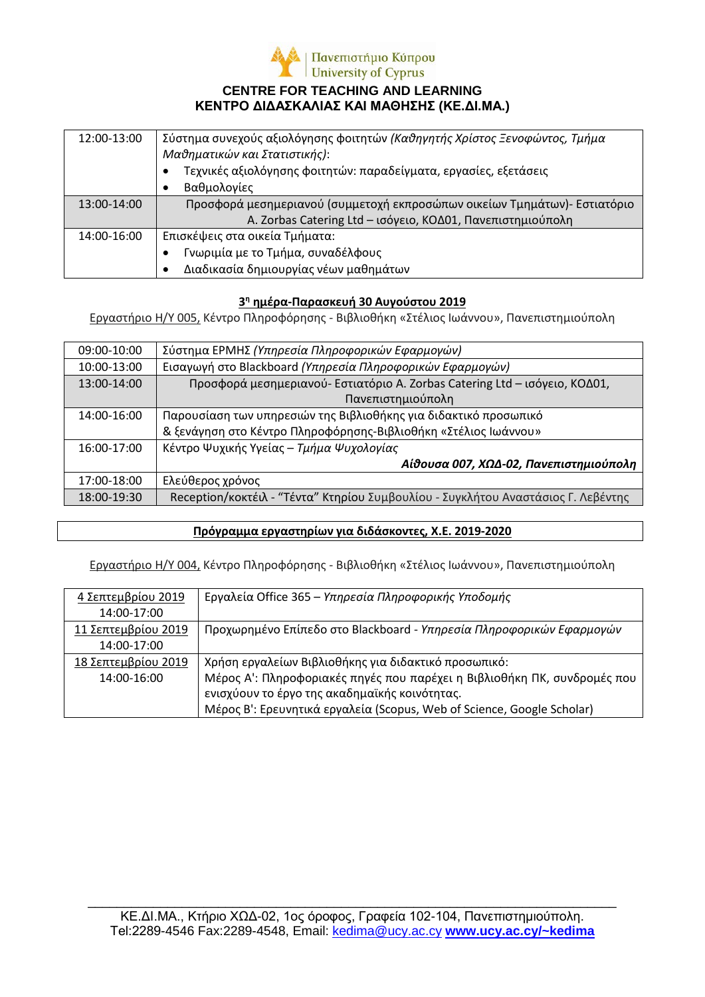

### **CENTRE FOR TEACHING AND LEARNING ΚΕΝΤΡΟ ΔΙΔΑΣΚΑΛΙΑΣ ΚΑΙ ΜΑΘΗΣΗΣ (ΚΕ.ΔΙ.ΜΑ.)**

| 12:00-13:00 | Σύστημα συνεχούς αξιολόγησης φοιτητών <i>(Καθηγητής Χρίστος Ξενοφώντος, Τμήμα</i><br>Μαθηματικών και Στατιστικής): |  |
|-------------|--------------------------------------------------------------------------------------------------------------------|--|
|             | Τεχνικές αξιολόγησης φοιτητών: παραδείγματα, εργασίες, εξετάσεις                                                   |  |
|             | Βαθμολογίες                                                                                                        |  |
| 13:00-14:00 | Προσφορά μεσημεριανού (συμμετοχή εκπροσώπων οικείων Τμημάτων)- Εστιατόριο                                          |  |
|             | A. Zorbas Catering Ltd - ισόγειο, ΚΟΔ01, Πανεπιστημιούπολη                                                         |  |
| 14:00-16:00 | Επισκέψεις στα οικεία Τμήματα:                                                                                     |  |
|             | Γνωριμία με το Τμήμα, συναδέλφους                                                                                  |  |
|             | Διαδικασία δημιουργίας νέων μαθημάτων                                                                              |  |

### **3<sup>η</sup> ημέρα-Παρασκευή 30 Αυγούστου 2019**

Εργαστήριο H/Y 005, Κέντρο Πληροφόρησης - Βιβλιοθήκη «Στέλιος Ιωάννου», Πανεπιστημιούπολη

| 09:00-10:00 | Σύστημα ΕΡΜΗΣ (Υπηρεσία Πληροφορικών Εφαρμογών)                                   |
|-------------|-----------------------------------------------------------------------------------|
| 10:00-13:00 | Εισαγωγή στο Blackboard (Υπηρεσία Πληροφορικών Εφαρμογών)                         |
| 13:00-14:00 | Προσφορά μεσημεριανού- Εστιατόριο A. Zorbas Catering Ltd - ισόγειο, ΚΟΔ01,        |
|             | Πανεπιστημιούπολη                                                                 |
| 14:00-16:00 | Παρουσίαση των υπηρεσιών της Βιβλιοθήκης για διδακτικό προσωπικό                  |
|             | & ξενάγηση στο Κέντρο Πληροφόρησης-Βιβλιοθήκη «Στέλιος Ιωάννου»                   |
| 16:00-17:00 | Κέντρο Ψυχικής Υγείας – Τμήμα Ψυχολογίας                                          |
|             | Αίθουσα 007, ΧΩΔ-02, Πανεπιστημιούπολη                                            |
| 17:00-18:00 | Ελεύθερος χρόνος                                                                  |
| 18:00-19:30 | Reception/κοκτέιλ - "Τέντα" Κτηρίου Συμβουλίου - Συγκλήτου Αναστάσιος Γ. Λεβέντης |

# **Πρόγραμμα εργαστηρίων για διδάσκοντες, Χ.Ε. 2019-2020**

Εργαστήριο H/Y 004, Κέντρο Πληροφόρησης - Βιβλιοθήκη «Στέλιος Ιωάννου», Πανεπιστημιούπολη

| 4 Σεπτεμβρίου 2019  | Εργαλεία Office 365 – Υπηρεσία Πληροφορικής Υποδομής                     |
|---------------------|--------------------------------------------------------------------------|
| 14:00-17:00         |                                                                          |
| 11 Σεπτεμβρίου 2019 | Προχωρημένο Επίπεδο στο Blackboard - Υπηρεσία Πληροφορικών Εφαρμογών     |
| 14:00-17:00         |                                                                          |
| 18 Σεπτεμβρίου 2019 | Χρήση εργαλείων Βιβλιοθήκης για διδακτικό προσωπικό:                     |
| 14:00-16:00         | Μέρος Α': Πληροφοριακές πηγές που παρέχει η Βιβλιοθήκη ΠΚ, συνδρομές που |
|                     | ενισχύουν το έργο της ακαδημαϊκής κοινότητας.                            |
|                     | Μέρος Β': Ερευνητικά εργαλεία (Scopus, Web of Science, Google Scholar)   |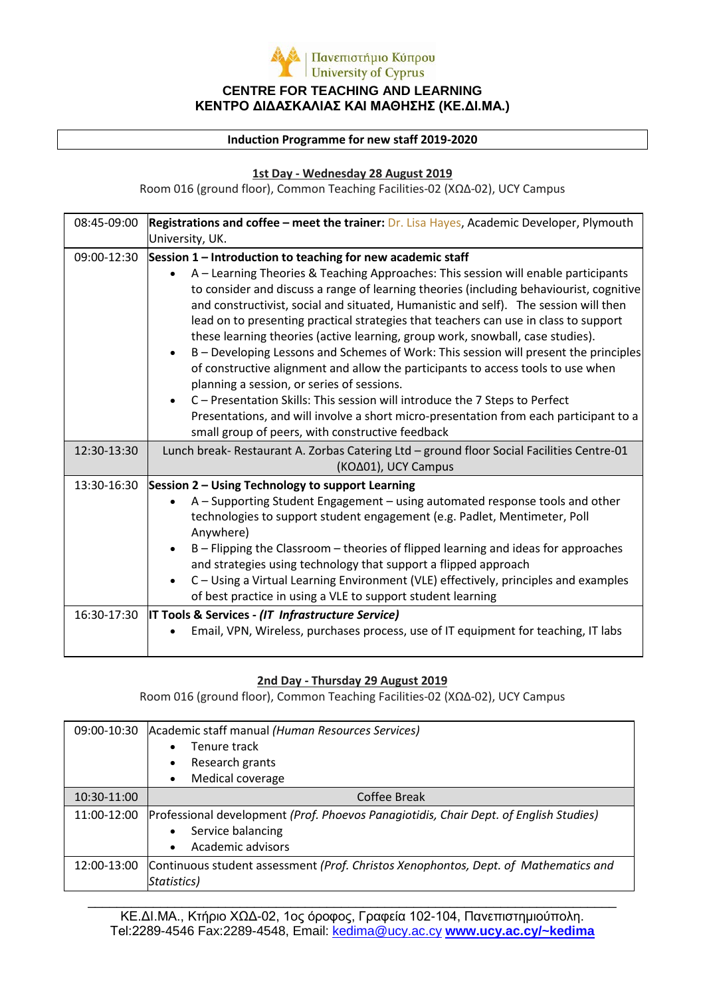

#### **Induction Programme for new staff 2019-2020**

#### **1st Day - Wednesday 28 August 2019**

Room 016 (ground floor), Common Teaching Facilities-02 (ΧΩΔ-02), UCY Campus

| 08:45-09:00 | Registrations and coffee - meet the trainer: Dr. Lisa Hayes, Academic Developer, Plymouth                                                                                    |
|-------------|------------------------------------------------------------------------------------------------------------------------------------------------------------------------------|
|             | University, UK.                                                                                                                                                              |
| 09:00-12:30 | Session 1 - Introduction to teaching for new academic staff                                                                                                                  |
|             | A - Learning Theories & Teaching Approaches: This session will enable participants                                                                                           |
|             | to consider and discuss a range of learning theories (including behaviourist, cognitive                                                                                      |
|             | and constructivist, social and situated, Humanistic and self). The session will then<br>lead on to presenting practical strategies that teachers can use in class to support |
|             | these learning theories (active learning, group work, snowball, case studies).                                                                                               |
|             | B - Developing Lessons and Schemes of Work: This session will present the principles<br>$\bullet$                                                                            |
|             | of constructive alignment and allow the participants to access tools to use when                                                                                             |
|             | planning a session, or series of sessions.                                                                                                                                   |
|             | C - Presentation Skills: This session will introduce the 7 Steps to Perfect                                                                                                  |
|             | Presentations, and will involve a short micro-presentation from each participant to a                                                                                        |
|             | small group of peers, with constructive feedback                                                                                                                             |
| 12:30-13:30 | Lunch break- Restaurant A. Zorbas Catering Ltd - ground floor Social Facilities Centre-01                                                                                    |
|             | (KO∆01), UCY Campus                                                                                                                                                          |
| 13:30-16:30 | Session 2 - Using Technology to support Learning                                                                                                                             |
|             | A - Supporting Student Engagement - using automated response tools and other                                                                                                 |
|             | technologies to support student engagement (e.g. Padlet, Mentimeter, Poll                                                                                                    |
|             | Anywhere)                                                                                                                                                                    |
|             | B - Flipping the Classroom - theories of flipped learning and ideas for approaches                                                                                           |
|             | and strategies using technology that support a flipped approach                                                                                                              |
|             | C - Using a Virtual Learning Environment (VLE) effectively, principles and examples                                                                                          |
|             | of best practice in using a VLE to support student learning                                                                                                                  |
| 16:30-17:30 | IT Tools & Services - (IT Infrastructure Service)                                                                                                                            |
|             | Email, VPN, Wireless, purchases process, use of IT equipment for teaching, IT labs                                                                                           |
|             |                                                                                                                                                                              |

### **2nd Day - Thursday 29 August 2019**

Room 016 (ground floor), Common Teaching Facilities-02 (ΧΩΔ-02), UCY Campus

| 09:00-10:30 | Academic staff manual (Human Resources Services)                                                                                             |  |
|-------------|----------------------------------------------------------------------------------------------------------------------------------------------|--|
|             | Tenure track                                                                                                                                 |  |
|             | Research grants<br>٠                                                                                                                         |  |
|             | Medical coverage<br>٠                                                                                                                        |  |
| 10:30-11:00 | Coffee Break                                                                                                                                 |  |
| 11:00-12:00 | Professional development (Prof. Phoevos Panagiotidis, Chair Dept. of English Studies)<br>Service balancing<br>Academic advisors<br>$\bullet$ |  |
| 12:00-13:00 | Continuous student assessment (Prof. Christos Xenophontos, Dept. of Mathematics and<br>Statistics)                                           |  |